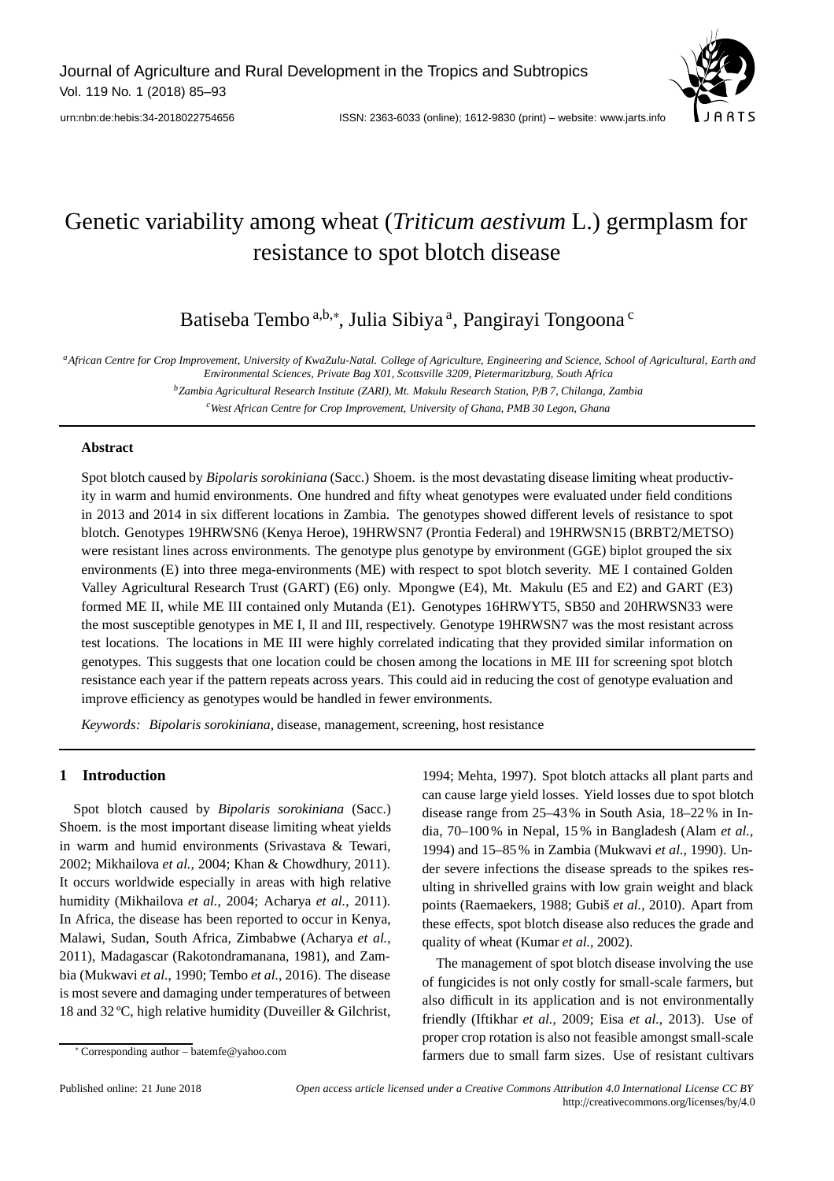

# Genetic variability among wheat (*Triticum aestivum* L.) germplasm for resistance to spot blotch disease

Batiseba Tembo <sup>a,b,∗</sup>, Julia Sibiya <sup>a</sup>, Pangirayi Tongoona <sup>c</sup>

*aAfrican Centre for Crop Improvement, University of KwaZulu-Natal. College of Agriculture, Engineering and Science, School of Agricultural, Earth and Environmental Sciences, Private Bag X01, Scottsville 3209, Pietermaritzburg, South Africa*

> *bZambia Agricultural Research Institute (ZARI), Mt. Makulu Research Station, P*/*B 7, Chilanga, Zambia cWest African Centre for Crop Improvement, University of Ghana, PMB 30 Legon, Ghana*

#### **Abstract**

Spot blotch caused by *Bipolaris sorokiniana* (Sacc.) Shoem. is the most devastating disease limiting wheat productivity in warm and humid environments. One hundred and fifty wheat genotypes were evaluated under field conditions in 2013 and 2014 in six different locations in Zambia. The genotypes showed different levels of resistance to spot blotch. Genotypes 19HRWSN6 (Kenya Heroe), 19HRWSN7 (Prontia Federal) and 19HRWSN15 (BRBT2/METSO) were resistant lines across environments. The genotype plus genotype by environment (GGE) biplot grouped the six environments (E) into three mega-environments (ME) with respect to spot blotch severity. ME I contained Golden Valley Agricultural Research Trust (GART) (E6) only. Mpongwe (E4), Mt. Makulu (E5 and E2) and GART (E3) formed ME II, while ME III contained only Mutanda (E1). Genotypes 16HRWYT5, SB50 and 20HRWSN33 were the most susceptible genotypes in ME I, II and III, respectively. Genotype 19HRWSN7 was the most resistant across test locations. The locations in ME III were highly correlated indicating that they provided similar information on genotypes. This suggests that one location could be chosen among the locations in ME III for screening spot blotch resistance each year if the pattern repeats across years. This could aid in reducing the cost of genotype evaluation and improve efficiency as genotypes would be handled in fewer environments.

*Keywords: Bipolaris sorokiniana*, disease, management, screening, host resistance

## **1 Introduction**

Spot blotch caused by *Bipolaris sorokiniana* (Sacc.) Shoem. is the most important disease limiting wheat yields in warm and humid environments (Srivastava & Tewari, 2002; Mikhailova *et al.*, 2004; Khan & Chowdhury, 2011). It occurs worldwide especially in areas with high relative humidity (Mikhailova *et al.*, 2004; Acharya *et al.*, 2011). In Africa, the disease has been reported to occur in Kenya, Malawi, Sudan, South Africa, Zimbabwe (Acharya *et al.*, 2011), Madagascar (Rakotondramanana, 1981), and Zambia (Mukwavi *et al.*, 1990; Tembo *et al.*, 2016). The disease is most severe and damaging under temperatures of between 18 and 32 ºC, high relative humidity (Duveiller & Gilchrist,

1994; Mehta, 1997). Spot blotch attacks all plant parts and can cause large yield losses. Yield losses due to spot blotch disease range from 25–43% in South Asia, 18–22% in India, 70–100% in Nepal, 15 % in Bangladesh (Alam *et al.*, 1994) and 15–85% in Zambia (Mukwavi *et al.*, 1990). Under severe infections the disease spreads to the spikes resulting in shrivelled grains with low grain weight and black points (Raemaekers, 1988; Gubiš *et al.*, 2010). Apart from these effects, spot blotch disease also reduces the grade and quality of wheat (Kumar *et al.*, 2002).

The management of spot blotch disease involving the use of fungicides is not only costly for small-scale farmers, but also difficult in its application and is not environmentally friendly (Iftikhar *et al.*, 2009; Eisa *et al.*, 2013). Use of proper crop rotation is also not feasible amongst small-scale farmers due to small farm sizes. Use of resistant cultivars

<sup>∗</sup> Corresponding author – batemfe@yahoo.com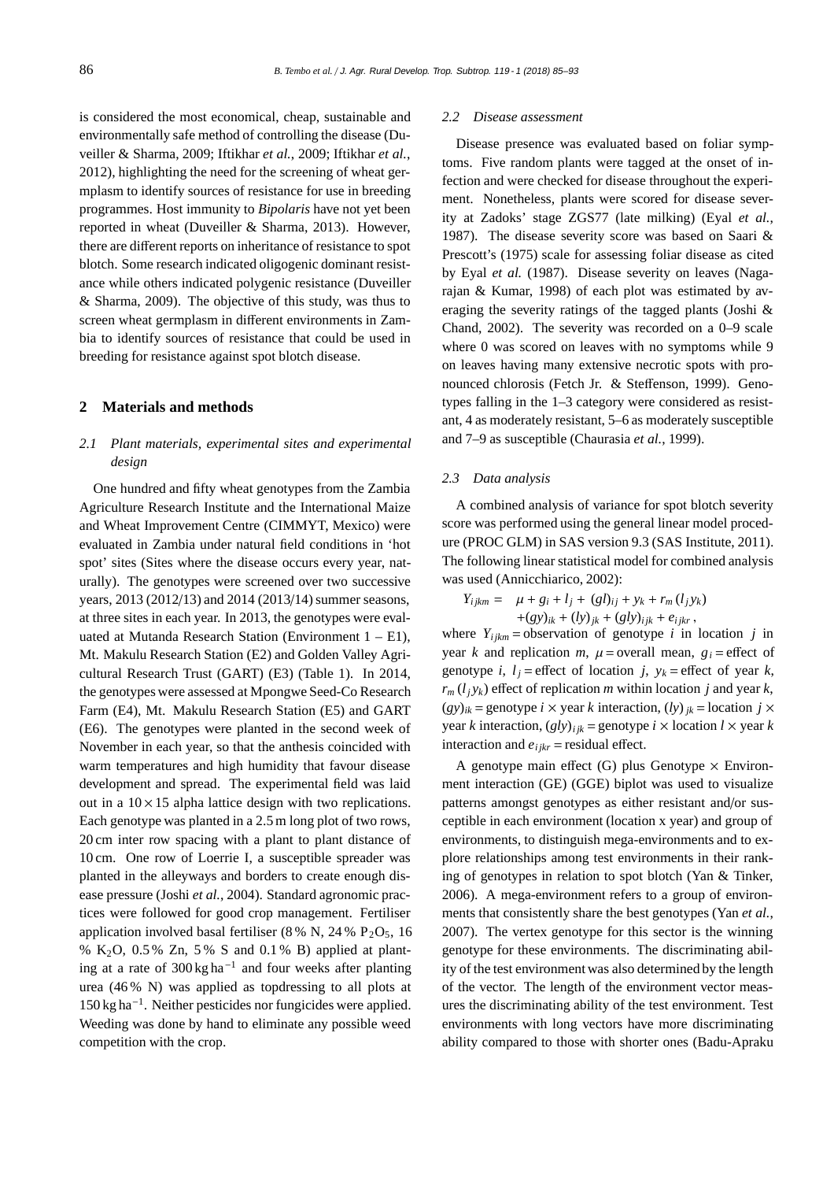is considered the most economical, cheap, sustainable and environmentally safe method of controlling the disease (Duveiller & Sharma, 2009; Iftikhar *et al.*, 2009; Iftikhar *et al.*, 2012), highlighting the need for the screening of wheat germplasm to identify sources of resistance for use in breeding programmes. Host immunity to *Bipolaris* have not yet been reported in wheat (Duveiller & Sharma, 2013). However, there are different reports on inheritance of resistance to spot blotch. Some research indicated oligogenic dominant resistance while others indicated polygenic resistance (Duveiller & Sharma, 2009). The objective of this study, was thus to screen wheat germplasm in different environments in Zambia to identify sources of resistance that could be used in breeding for resistance against spot blotch disease.

#### **2 Materials and methods**

## *2.1 Plant materials, experimental sites and experimental design*

One hundred and fifty wheat genotypes from the Zambia Agriculture Research Institute and the International Maize and Wheat Improvement Centre (CIMMYT, Mexico) were evaluated in Zambia under natural field conditions in 'hot spot' sites (Sites where the disease occurs every year, naturally). The genotypes were screened over two successive years, 2013 (2012/13) and 2014 (2013/14) summer seasons, at three sites in each year. In 2013, the genotypes were evaluated at Mutanda Research Station (Environment  $1 - E1$ ), Mt. Makulu Research Station (E2) and Golden Valley Agricultural Research Trust (GART) (E3) (Table 1). In 2014, the genotypes were assessed at Mpongwe Seed-Co Research Farm (E4), Mt. Makulu Research Station (E5) and GART (E6). The genotypes were planted in the second week of November in each year, so that the anthesis coincided with warm temperatures and high humidity that favour disease development and spread. The experimental field was laid out in a  $10 \times 15$  alpha lattice design with two replications. Each genotype was planted in a 2.5 m long plot of two rows, 20 cm inter row spacing with a plant to plant distance of 10 cm. One row of Loerrie I, a susceptible spreader was planted in the alleyways and borders to create enough disease pressure (Joshi *et al.*, 2004). Standard agronomic practices were followed for good crop management. Fertiliser application involved basal fertiliser (8 % N, 24 %  $P_2O_5$ , 16 % K<sub>2</sub>O, 0.5 % Zn, 5 % S and 0.1 % B) applied at planting at a rate of 300 kg ha<sup>-1</sup> and four weeks after planting urea (46 % N) was applied as topdressing to all plots at 150 kg ha−1. Neither pesticides nor fungicides were applied. Weeding was done by hand to eliminate any possible weed competition with the crop.

#### *2.2 Disease assessment*

Disease presence was evaluated based on foliar symptoms. Five random plants were tagged at the onset of infection and were checked for disease throughout the experiment. Nonetheless, plants were scored for disease severity at Zadoks' stage ZGS77 (late milking) (Eyal *et al.*, 1987). The disease severity score was based on Saari & Prescott's (1975) scale for assessing foliar disease as cited by Eyal *et al.* (1987). Disease severity on leaves (Nagarajan & Kumar, 1998) of each plot was estimated by averaging the severity ratings of the tagged plants (Joshi & Chand, 2002). The severity was recorded on a 0–9 scale where 0 was scored on leaves with no symptoms while 9 on leaves having many extensive necrotic spots with pronounced chlorosis (Fetch Jr. & Steffenson, 1999). Genotypes falling in the 1–3 category were considered as resistant, 4 as moderately resistant, 5–6 as moderately susceptible and 7–9 as susceptible (Chaurasia *et al.*, 1999).

### *2.3 Data analysis*

A combined analysis of variance for spot blotch severity score was performed using the general linear model procedure (PROC GLM) in SAS version 9.3 (SAS Institute, 2011). The following linear statistical model for combined analysis was used (Annicchiarico, 2002):

$$
Y_{ijkm} = \mu + g_i + l_j + (gl)_{ij} + y_k + r_m (l_j y_k) + (gy)_{ik} + (ly)_{jk} + (gly)_{ijk} + e_{ijkr},
$$

where  $Y_{ijkm}$  = observation of genotype *i* in location *j* in year *k* and replication *m*,  $\mu$  = overall mean,  $g_i$  = effect of genotype *i*,  $l_i$  = effect of location *j*,  $y_k$  = effect of year *k*,  $r_m(l_i y_k)$  effect of replication *m* within location *j* and year *k*,  $(gy)_{ik}$  = genotype *i* × year *k* interaction,  $(hy)_{ik}$  = location *j* × year *k* interaction,  $(gly)_{ijk}$  = genotype *i* × location *l* × year *k* interaction and  $e_{ijkr}$  = residual effect.

A genotype main effect (G) plus Genotype  $\times$  Environment interaction (GE) (GGE) biplot was used to visualize patterns amongst genotypes as either resistant and/or susceptible in each environment (location x year) and group of environments, to distinguish mega-environments and to explore relationships among test environments in their ranking of genotypes in relation to spot blotch (Yan & Tinker, 2006). A mega-environment refers to a group of environments that consistently share the best genotypes (Yan *et al.*, 2007). The vertex genotype for this sector is the winning genotype for these environments. The discriminating ability of the test environment was also determined by the length of the vector. The length of the environment vector measures the discriminating ability of the test environment. Test environments with long vectors have more discriminating ability compared to those with shorter ones (Badu-Apraku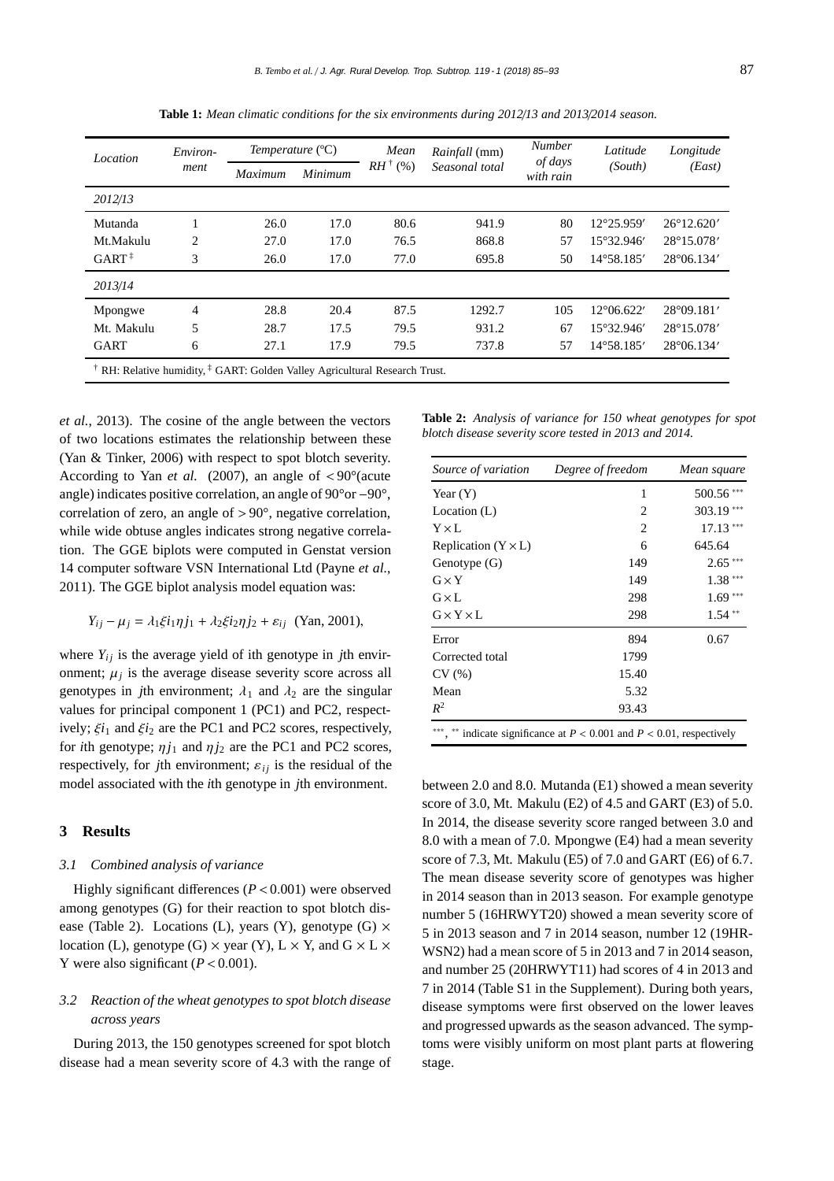| Location                                                                                          | Environ-<br>ment | Temperature $(°C)$ |         | Mean       | <i>Rainfall</i> (mm) | <b>Number</b>        | Latitude            | Longitude           |
|---------------------------------------------------------------------------------------------------|------------------|--------------------|---------|------------|----------------------|----------------------|---------------------|---------------------|
|                                                                                                   |                  | Maximum            | Minimum | $RH^+($ %) | Seasonal total       | of days<br>with rain | (South)             | (East)              |
| 2012/13                                                                                           |                  |                    |         |            |                      |                      |                     |                     |
| Mutanda                                                                                           |                  | 26.0               | 17.0    | 80.6       | 941.9                | 80                   | 12°25.959'          | $26^{\circ}12.620'$ |
| Mt.Makulu                                                                                         | 2                | 27.0               | 17.0    | 76.5       | 868.8                | 57                   | $15^{\circ}32.946'$ | 28°15.078'          |
| $GART^{\ddagger}$                                                                                 | 3                | 26.0               | 17.0    | 77.0       | 695.8                | 50                   | $14^{\circ}58.185'$ | $28^{\circ}06.134'$ |
| 2013/14                                                                                           |                  |                    |         |            |                      |                      |                     |                     |
| Mpongwe                                                                                           | 4                | 28.8               | 20.4    | 87.5       | 1292.7               | 105                  | $12^{\circ}06.622'$ | 28°09.181'          |
| Mt. Makulu                                                                                        | 5                | 28.7               | 17.5    | 79.5       | 931.2                | 67                   | $15^{\circ}32.946'$ | 28°15.078'          |
| <b>GART</b>                                                                                       | 6                | 27.1               | 17.9    | 79.5       | 737.8                | 57                   | $14^{\circ}58.185'$ | $28^{\circ}06.134'$ |
| <sup>†</sup> RH: Relative humidity, <sup>†</sup> GART: Golden Valley Agricultural Research Trust. |                  |                    |         |            |                      |                      |                     |                     |

**Table 1:** *Mean climatic conditions for the six environments during 2012*/*13 and 2013*/*2014 season.*

*et al.*, 2013). The cosine of the angle between the vectors of two locations estimates the relationship between these (Yan & Tinker, 2006) with respect to spot blotch severity. According to Yan *et al.* (2007), an angle of  $\langle 90^\circ (a\text{cute})$ angle) indicates positive correlation, an angle of 90°or −90°, correlation of zero, an angle of > 90°, negative correlation, while wide obtuse angles indicates strong negative correlation. The GGE biplots were computed in Genstat version 14 computer software VSN International Ltd (Payne *et al.*, 2011). The GGE biplot analysis model equation was:

$$
Y_{ij} - \mu_j = \lambda_1 \xi i_1 \eta j_1 + \lambda_2 \xi i_2 \eta j_2 + \varepsilon_{ij}
$$
 (Yan, 2001),

where  $Y_{ij}$  is the average yield of ith genotype in *j*th environment;  $\mu_j$  is the average disease severity score across all genotypes in *j*th environment;  $\lambda_1$  and  $\lambda_2$  are the singular values for principal component 1 (PC1) and PC2, respectively;  $\xi i_1$  and  $\xi i_2$  are the PC1 and PC2 scores, respectively, for *i*th genotype;  $\eta i_1$  and  $\eta i_2$  are the PC1 and PC2 scores, respectively, for *j*th environment;  $\varepsilon_{ij}$  is the residual of the model associated with the *i*th genotype in *j*th environment.

## **3 Results**

#### *3.1 Combined analysis of variance*

Highly significant differences  $(P < 0.001)$  were observed among genotypes (G) for their reaction to spot blotch disease (Table 2). Locations (L), years (Y), genotype (G)  $\times$ location (L), genotype (G)  $\times$  year (Y), L  $\times$  Y, and G  $\times$  L  $\times$ Y were also significant  $(P < 0.001)$ .

## *3.2 Reaction of the wheat genotypes to spot blotch disease across years*

During 2013, the 150 genotypes screened for spot blotch disease had a mean severity score of 4.3 with the range of

**Table 2:** *Analysis of variance for 150 wheat genotypes for spot blotch disease severity score tested in 2013 and 2014.*

| Source of variation        | Degree of freedom                                                  | Mean square |
|----------------------------|--------------------------------------------------------------------|-------------|
| Year $(Y)$                 | 1                                                                  | 500.56***   |
| Location $(L)$             | 2                                                                  | 303.19***   |
| $Y \times L$               | 2                                                                  | $17.13***$  |
| Replication $(Y \times L)$ | 6                                                                  | 645.64      |
| Genotype (G)               | 149                                                                | $2.65***$   |
| $G \times Y$               | 149                                                                | $1.38***$   |
| $G\times L$                | 298                                                                | $1.69***$   |
| $G \times Y \times L$      | 298                                                                | $1.54**$    |
| Error                      | 894                                                                | 0.67        |
| Corrected total            | 1799                                                               |             |
| CV(%)                      | 15.40                                                              |             |
| Mean                       | 5.32                                                               |             |
| $R^2$                      | 93.43                                                              |             |
|                            | indicate significance at $P < 0.001$ and $P < 0.01$ , respectively |             |

between 2.0 and 8.0. Mutanda (E1) showed a mean severity score of 3.0, Mt. Makulu (E2) of 4.5 and GART (E3) of 5.0. In 2014, the disease severity score ranged between 3.0 and 8.0 with a mean of 7.0. Mpongwe (E4) had a mean severity score of 7.3, Mt. Makulu (E5) of 7.0 and GART (E6) of 6.7. The mean disease severity score of genotypes was higher in 2014 season than in 2013 season. For example genotype number 5 (16HRWYT20) showed a mean severity score of 5 in 2013 season and 7 in 2014 season, number 12 (19HR-WSN2) had a mean score of 5 in 2013 and 7 in 2014 season, and number 25 (20HRWYT11) had scores of 4 in 2013 and 7 in 2014 (Table S1 in the Supplement). During both years, disease symptoms were first observed on the lower leaves and progressed upwards as the season advanced. The symptoms were visibly uniform on most plant parts at flowering stage.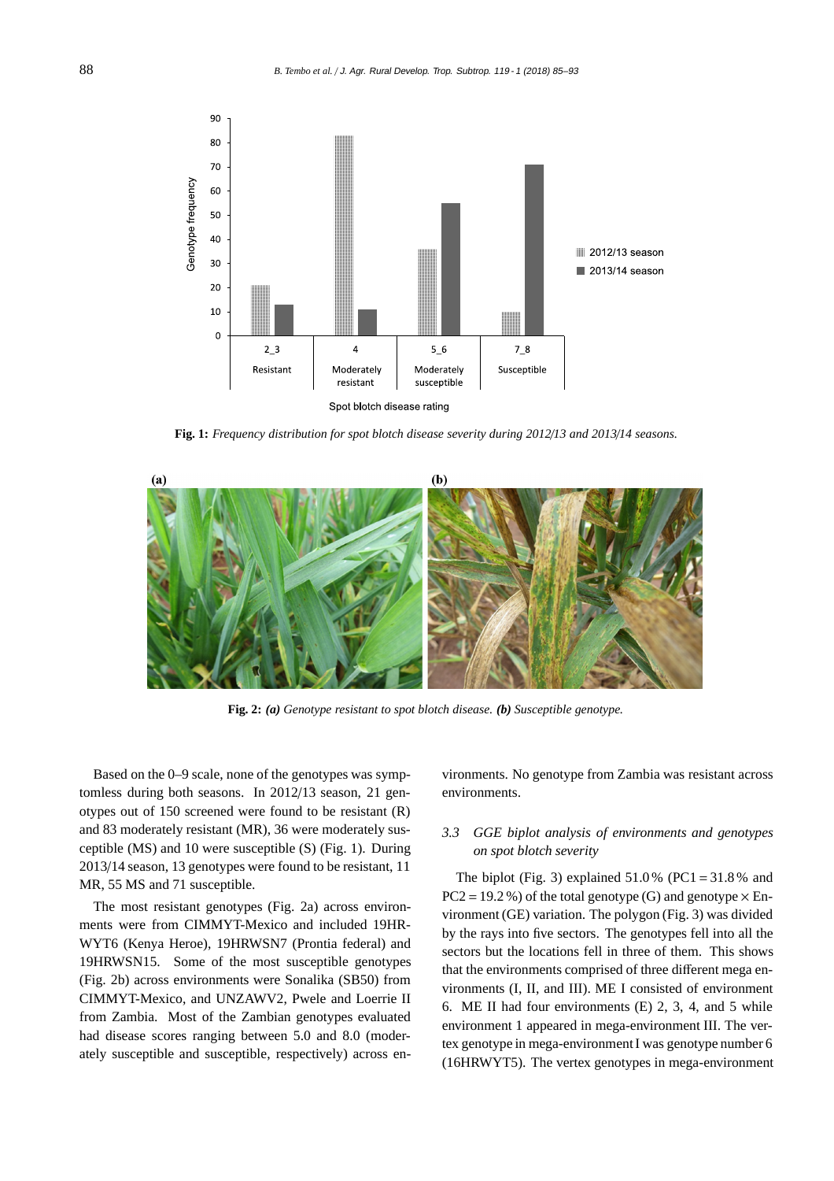

**Fig. 1:** *Frequency distribution for spot blotch disease severity during 2012*/*13 and 2013*/*14 seasons.*



**Fig. 2:** *(a) Genotype resistant to spot blotch disease. (b) Susceptible genotype.*

Based on the 0–9 scale, none of the genotypes was symptomless during both seasons. In 2012/13 season, 21 genotypes out of 150 screened were found to be resistant (R) and 83 moderately resistant (MR), 36 were moderately susceptible (MS) and 10 were susceptible (S) (Fig. 1). During 2013/14 season, 13 genotypes were found to be resistant, 11 MR, 55 MS and 71 susceptible.

The most resistant genotypes (Fig. 2a) across environments were from CIMMYT-Mexico and included 19HR-WYT6 (Kenya Heroe), 19HRWSN7 (Prontia federal) and 19HRWSN15. Some of the most susceptible genotypes (Fig. 2b) across environments were Sonalika (SB50) from CIMMYT-Mexico, and UNZAWV2, Pwele and Loerrie II from Zambia. Most of the Zambian genotypes evaluated had disease scores ranging between 5.0 and 8.0 (moderately susceptible and susceptible, respectively) across en-

vironments. No genotype from Zambia was resistant across environments.

## *3.3 GGE biplot analysis of environments and genotypes on spot blotch severity*

The biplot (Fig. 3) explained  $51.0\%$  (PC1 = 31.8% and  $PC2 = 19.2 %$ ) of the total genotype (G) and genotype  $\times$  Environment (GE) variation. The polygon (Fig. 3) was divided by the rays into five sectors. The genotypes fell into all the sectors but the locations fell in three of them. This shows that the environments comprised of three different mega environments (I, II, and III). ME I consisted of environment 6. ME II had four environments (E) 2, 3, 4, and 5 while environment 1 appeared in mega-environment III. The vertex genotype in mega-environment I was genotype number 6 (16HRWYT5). The vertex genotypes in mega-environment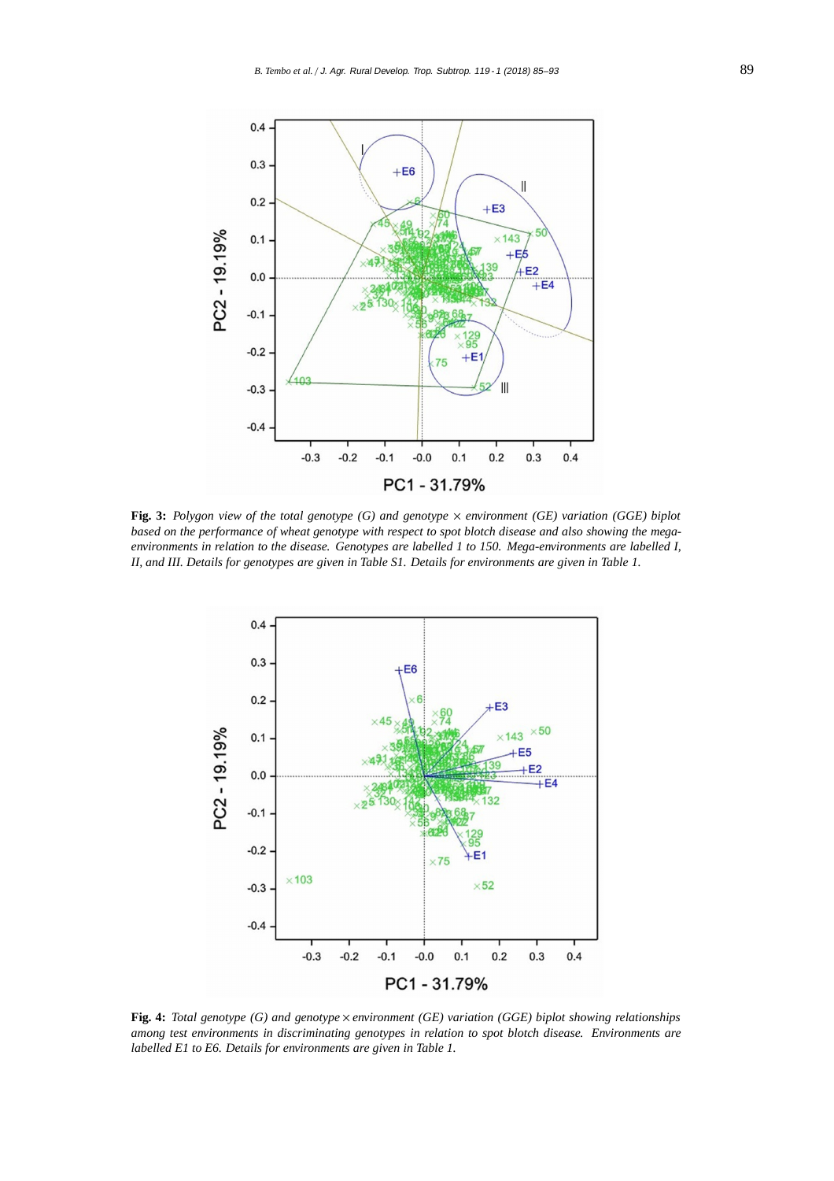

**Fig. 3:** *Polygon view of the total genotype (G) and genotype* × *environment (GE) variation (GGE) biplot based on the performance of wheat genotype with respect to spot blotch disease and also showing the megaenvironments in relation to the disease. Genotypes are labelled 1 to 150. Mega-environments are labelled I, II, and III. Details for genotypes are given in Table S1. Details for environments are given in Table 1.*



**Fig. 4:** *Total genotype (G) and genotype* × *environment (GE) variation (GGE) biplot showing relationships among test environments in discriminating genotypes in relation to spot blotch disease. Environments are labelled E1 to E6. Details for environments are given in Table 1.*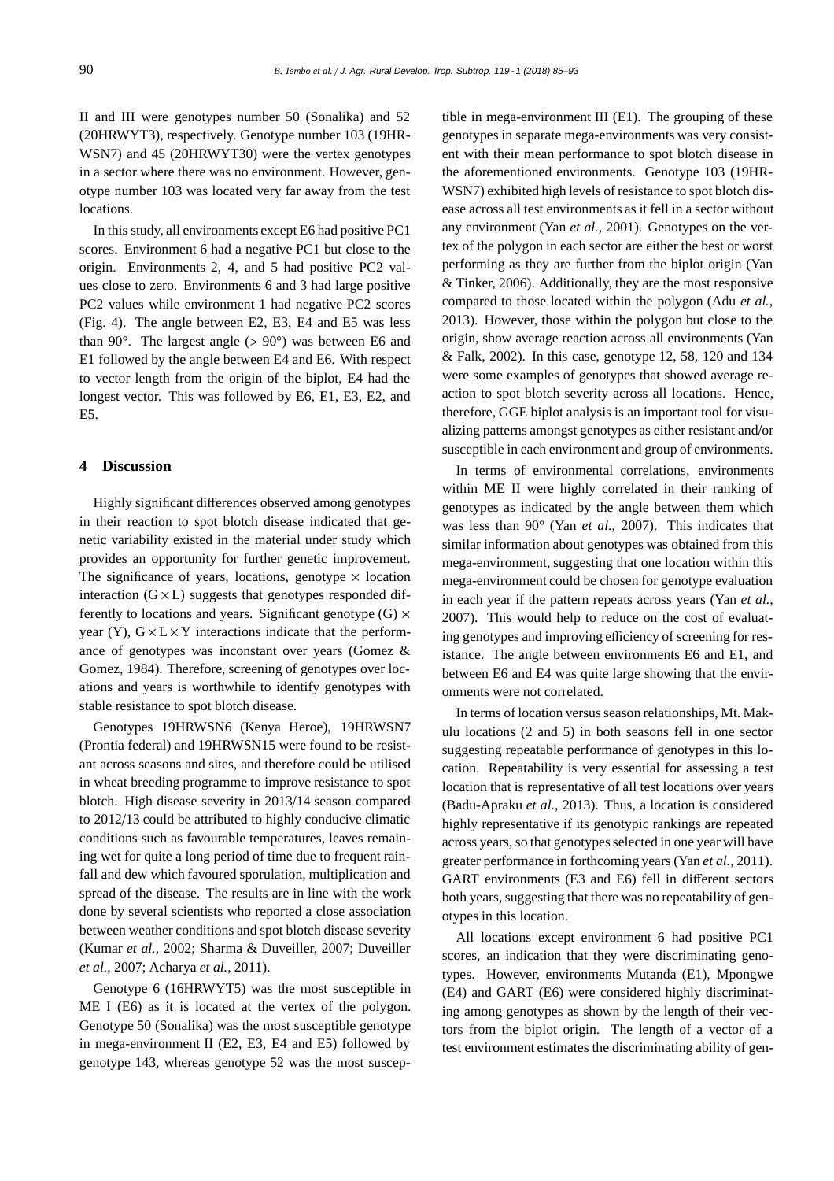II and III were genotypes number 50 (Sonalika) and 52 (20HRWYT3), respectively. Genotype number 103 (19HR-WSN7) and 45 (20HRWYT30) were the vertex genotypes in a sector where there was no environment. However, genotype number 103 was located very far away from the test locations.

In this study, all environments except E6 had positive PC1 scores. Environment 6 had a negative PC1 but close to the origin. Environments 2, 4, and 5 had positive PC2 values close to zero. Environments 6 and 3 had large positive PC2 values while environment 1 had negative PC2 scores (Fig. 4). The angle between E2, E3, E4 and E5 was less than 90 $^{\circ}$ . The largest angle ( $> 90^{\circ}$ ) was between E6 and E1 followed by the angle between E4 and E6. With respect to vector length from the origin of the biplot, E4 had the longest vector. This was followed by E6, E1, E3, E2, and E5.

## **4 Discussion**

Highly significant differences observed among genotypes in their reaction to spot blotch disease indicated that genetic variability existed in the material under study which provides an opportunity for further genetic improvement. The significance of years, locations, genotype  $\times$  location interaction  $(G \times L)$  suggests that genotypes responded differently to locations and years. Significant genotype  $(G) \times$ year (Y),  $G \times L \times Y$  interactions indicate that the performance of genotypes was inconstant over years (Gomez & Gomez, 1984). Therefore, screening of genotypes over locations and years is worthwhile to identify genotypes with stable resistance to spot blotch disease.

Genotypes 19HRWSN6 (Kenya Heroe), 19HRWSN7 (Prontia federal) and 19HRWSN15 were found to be resistant across seasons and sites, and therefore could be utilised in wheat breeding programme to improve resistance to spot blotch. High disease severity in 2013/14 season compared to 2012/13 could be attributed to highly conducive climatic conditions such as favourable temperatures, leaves remaining wet for quite a long period of time due to frequent rainfall and dew which favoured sporulation, multiplication and spread of the disease. The results are in line with the work done by several scientists who reported a close association between weather conditions and spot blotch disease severity (Kumar *et al.*, 2002; Sharma & Duveiller, 2007; Duveiller *et al.*, 2007; Acharya *et al.*, 2011).

Genotype 6 (16HRWYT5) was the most susceptible in ME I (E6) as it is located at the vertex of the polygon. Genotype 50 (Sonalika) was the most susceptible genotype in mega-environment II (E2, E3, E4 and E5) followed by genotype 143, whereas genotype 52 was the most susceptible in mega-environment III (E1). The grouping of these genotypes in separate mega-environments was very consistent with their mean performance to spot blotch disease in the aforementioned environments. Genotype 103 (19HR-WSN7) exhibited high levels of resistance to spot blotch disease across all test environments as it fell in a sector without any environment (Yan *et al.*, 2001). Genotypes on the vertex of the polygon in each sector are either the best or worst performing as they are further from the biplot origin (Yan & Tinker, 2006). Additionally, they are the most responsive compared to those located within the polygon (Adu *et al.*, 2013). However, those within the polygon but close to the origin, show average reaction across all environments (Yan & Falk, 2002). In this case, genotype 12, 58, 120 and 134 were some examples of genotypes that showed average reaction to spot blotch severity across all locations. Hence, therefore, GGE biplot analysis is an important tool for visualizing patterns amongst genotypes as either resistant and/or susceptible in each environment and group of environments.

In terms of environmental correlations, environments within ME II were highly correlated in their ranking of genotypes as indicated by the angle between them which was less than 90° (Yan *et al.*, 2007). This indicates that similar information about genotypes was obtained from this mega-environment, suggesting that one location within this mega-environment could be chosen for genotype evaluation in each year if the pattern repeats across years (Yan *et al.*, 2007). This would help to reduce on the cost of evaluating genotypes and improving efficiency of screening for resistance. The angle between environments E6 and E1, and between E6 and E4 was quite large showing that the environments were not correlated.

In terms of location versus season relationships, Mt. Makulu locations (2 and 5) in both seasons fell in one sector suggesting repeatable performance of genotypes in this location. Repeatability is very essential for assessing a test location that is representative of all test locations over years (Badu-Apraku *et al.*, 2013). Thus, a location is considered highly representative if its genotypic rankings are repeated across years, so that genotypes selected in one year will have greater performance in forthcoming years (Yan *et al.*, 2011). GART environments (E3 and E6) fell in different sectors both years, suggesting that there was no repeatability of genotypes in this location.

All locations except environment 6 had positive PC1 scores, an indication that they were discriminating genotypes. However, environments Mutanda (E1), Mpongwe (E4) and GART (E6) were considered highly discriminating among genotypes as shown by the length of their vectors from the biplot origin. The length of a vector of a test environment estimates the discriminating ability of gen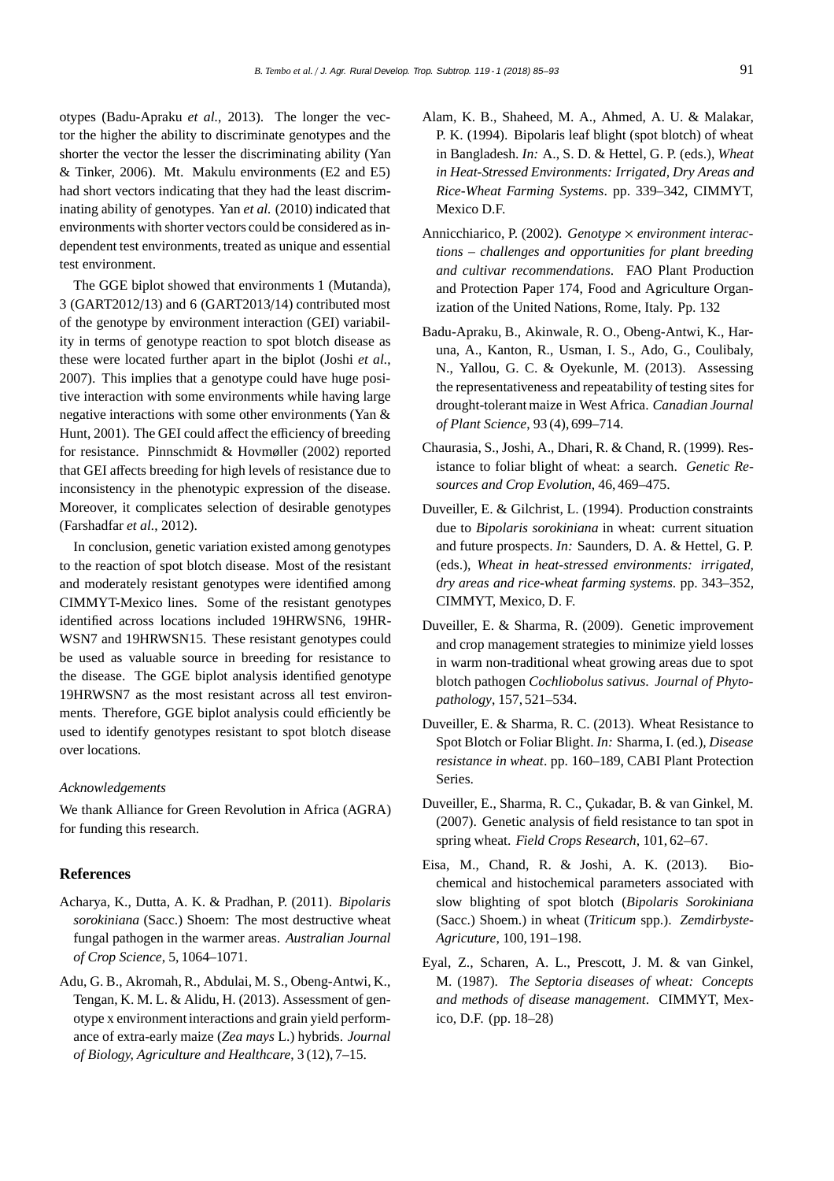otypes (Badu-Apraku *et al.*, 2013). The longer the vector the higher the ability to discriminate genotypes and the shorter the vector the lesser the discriminating ability (Yan & Tinker, 2006). Mt. Makulu environments (E2 and E5) had short vectors indicating that they had the least discriminating ability of genotypes. Yan *et al.* (2010) indicated that environments with shorter vectors could be considered as independent test environments, treated as unique and essential test environment.

The GGE biplot showed that environments 1 (Mutanda), 3 (GART2012/13) and 6 (GART2013/14) contributed most of the genotype by environment interaction (GEI) variability in terms of genotype reaction to spot blotch disease as these were located further apart in the biplot (Joshi *et al.*, 2007). This implies that a genotype could have huge positive interaction with some environments while having large negative interactions with some other environments (Yan & Hunt, 2001). The GEI could affect the efficiency of breeding for resistance. Pinnschmidt & Hovmøller (2002) reported that GEI affects breeding for high levels of resistance due to inconsistency in the phenotypic expression of the disease. Moreover, it complicates selection of desirable genotypes (Farshadfar *et al.*, 2012).

In conclusion, genetic variation existed among genotypes to the reaction of spot blotch disease. Most of the resistant and moderately resistant genotypes were identified among CIMMYT-Mexico lines. Some of the resistant genotypes identified across locations included 19HRWSN6, 19HR-WSN7 and 19HRWSN15. These resistant genotypes could be used as valuable source in breeding for resistance to the disease. The GGE biplot analysis identified genotype 19HRWSN7 as the most resistant across all test environments. Therefore, GGE biplot analysis could efficiently be used to identify genotypes resistant to spot blotch disease over locations.

#### *Acknowledgements*

We thank Alliance for Green Revolution in Africa (AGRA) for funding this research.

### **References**

- Acharya, K., Dutta, A. K. & Pradhan, P. (2011). *Bipolaris sorokiniana* (Sacc.) Shoem: The most destructive wheat fungal pathogen in the warmer areas. *Australian Journal of Crop Science*, 5, 1064–1071.
- Adu, G. B., Akromah, R., Abdulai, M. S., Obeng-Antwi, K., Tengan, K. M. L. & Alidu, H. (2013). Assessment of genotype x environment interactions and grain yield performance of extra-early maize (*Zea mays* L.) hybrids. *Journal of Biology, Agriculture and Healthcare*, 3 (12), 7–15.
- Alam, K. B., Shaheed, M. A., Ahmed, A. U. & Malakar, P. K. (1994). Bipolaris leaf blight (spot blotch) of wheat in Bangladesh. *In:* A., S. D. & Hettel, G. P. (eds.), *Wheat in Heat-Stressed Environments: Irrigated, Dry Areas and Rice-Wheat Farming Systems*. pp. 339–342, CIMMYT, Mexico D.F.
- Annicchiarico, P. (2002). *Genotype* × *environment interactions – challenges and opportunities for plant breeding and cultivar recommendations*. FAO Plant Production and Protection Paper 174, Food and Agriculture Organization of the United Nations, Rome, Italy. Pp. 132
- Badu-Apraku, B., Akinwale, R. O., Obeng-Antwi, K., Haruna, A., Kanton, R., Usman, I. S., Ado, G., Coulibaly, N., Yallou, G. C. & Oyekunle, M. (2013). Assessing the representativeness and repeatability of testing sites for drought-tolerant maize in West Africa. *Canadian Journal of Plant Science*, 93 (4), 699–714.
- Chaurasia, S., Joshi, A., Dhari, R. & Chand, R. (1999). Resistance to foliar blight of wheat: a search. *Genetic Resources and Crop Evolution*, 46, 469–475.
- Duveiller, E. & Gilchrist, L. (1994). Production constraints due to *Bipolaris sorokiniana* in wheat: current situation and future prospects. *In:* Saunders, D. A. & Hettel, G. P. (eds.), *Wheat in heat-stressed environments: irrigated, dry areas and rice-wheat farming systems*. pp. 343–352, CIMMYT, Mexico, D. F.
- Duveiller, E. & Sharma, R. (2009). Genetic improvement and crop management strategies to minimize yield losses in warm non-traditional wheat growing areas due to spot blotch pathogen *Cochliobolus sativus*. *Journal of Phytopathology*, 157, 521–534.
- Duveiller, E. & Sharma, R. C. (2013). Wheat Resistance to Spot Blotch or Foliar Blight. *In:* Sharma, I. (ed.), *Disease resistance in wheat*. pp. 160–189, CABI Plant Protection Series.
- Duveiller, E., Sharma, R. C., Çukadar, B. & van Ginkel, M. (2007). Genetic analysis of field resistance to tan spot in spring wheat. *Field Crops Research*, 101, 62–67.
- Eisa, M., Chand, R. & Joshi, A. K. (2013). Biochemical and histochemical parameters associated with slow blighting of spot blotch (*Bipolaris Sorokiniana* (Sacc.) Shoem.) in wheat (*Triticum* spp.). *Zemdirbyste-Agricuture*, 100, 191–198.
- Eyal, Z., Scharen, A. L., Prescott, J. M. & van Ginkel, M. (1987). *The Septoria diseases of wheat: Concepts and methods of disease management*. CIMMYT, Mexico, D.F. (pp. 18–28)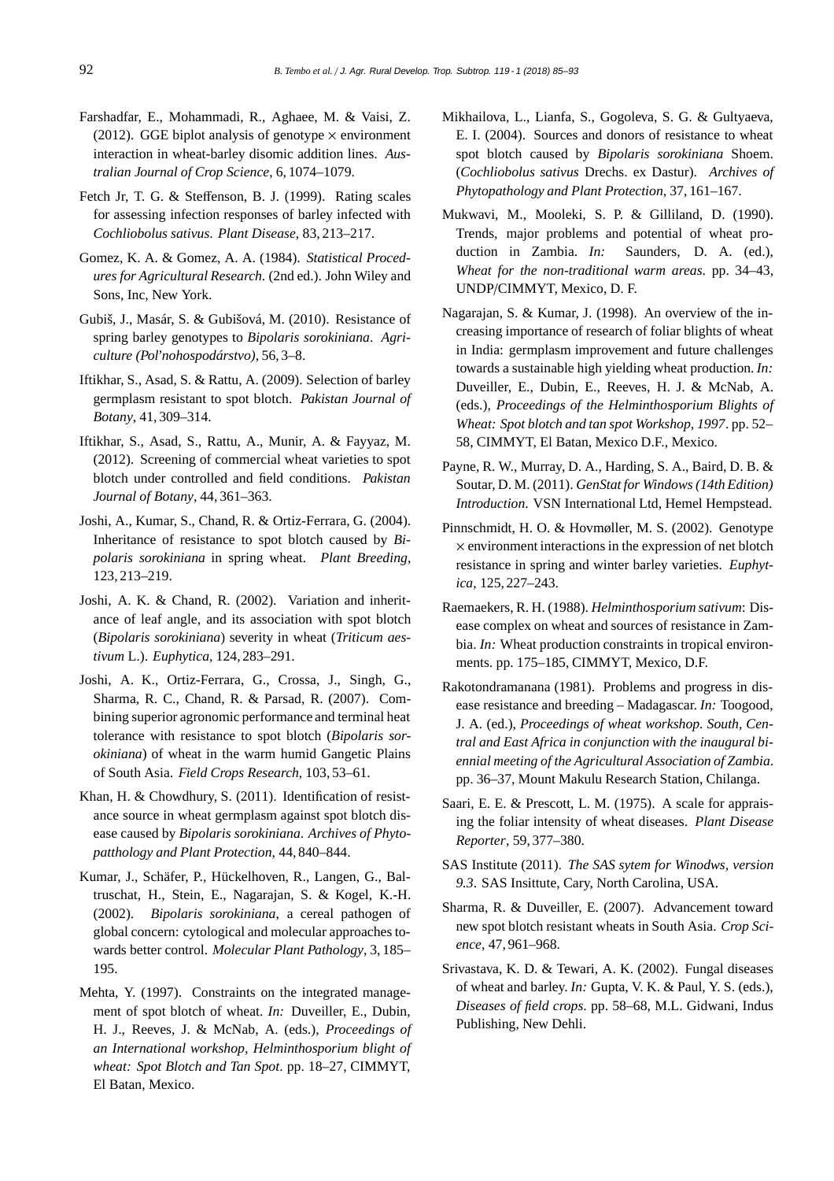- Farshadfar, E., Mohammadi, R., Aghaee, M. & Vaisi, Z. (2012). GGE biplot analysis of genotype  $\times$  environment interaction in wheat-barley disomic addition lines. *Australian Journal of Crop Science*, 6, 1074–1079.
- Fetch Jr, T. G. & Steffenson, B. J. (1999). Rating scales for assessing infection responses of barley infected with *Cochliobolus sativus*. *Plant Disease*, 83, 213–217.
- Gomez, K. A. & Gomez, A. A. (1984). *Statistical Procedures for Agricultural Research*. (2nd ed.). John Wiley and Sons, Inc, New York.
- Gubiš, J., Masár, S. & Gubišová, M. (2010). Resistance of spring barley genotypes to *Bipolaris sorokiniana*. *Agriculture (Pol'nohospodárstvo)*, 56, 3–8.
- Iftikhar, S., Asad, S. & Rattu, A. (2009). Selection of barley germplasm resistant to spot blotch. *Pakistan Journal of Botany*, 41, 309–314.
- Iftikhar, S., Asad, S., Rattu, A., Munir, A. & Fayyaz, M. (2012). Screening of commercial wheat varieties to spot blotch under controlled and field conditions. *Pakistan Journal of Botany*, 44, 361–363.
- Joshi, A., Kumar, S., Chand, R. & Ortiz-Ferrara, G. (2004). Inheritance of resistance to spot blotch caused by *Bipolaris sorokiniana* in spring wheat. *Plant Breeding*, 123, 213–219.
- Joshi, A. K. & Chand, R. (2002). Variation and inheritance of leaf angle, and its association with spot blotch (*Bipolaris sorokiniana*) severity in wheat (*Triticum aestivum* L.). *Euphytica*, 124, 283–291.
- Joshi, A. K., Ortiz-Ferrara, G., Crossa, J., Singh, G., Sharma, R. C., Chand, R. & Parsad, R. (2007). Combining superior agronomic performance and terminal heat tolerance with resistance to spot blotch (*Bipolaris sorokiniana*) of wheat in the warm humid Gangetic Plains of South Asia. *Field Crops Research*, 103, 53–61.
- Khan, H. & Chowdhury, S. (2011). Identification of resistance source in wheat germplasm against spot blotch disease caused by *Bipolaris sorokiniana*. *Archives of Phytopatthology and Plant Protection*, 44, 840–844.
- Kumar, J., Schäfer, P., Hückelhoven, R., Langen, G., Baltruschat, H., Stein, E., Nagarajan, S. & Kogel, K.-H. (2002). *Bipolaris sorokiniana*, a cereal pathogen of global concern: cytological and molecular approaches towards better control. *Molecular Plant Pathology*, 3, 185– 195.
- Mehta, Y. (1997). Constraints on the integrated management of spot blotch of wheat. *In:* Duveiller, E., Dubin, H. J., Reeves, J. & McNab, A. (eds.), *Proceedings of an International workshop, Helminthosporium blight of wheat: Spot Blotch and Tan Spot*. pp. 18–27, CIMMYT, El Batan, Mexico.
- Mikhailova, L., Lianfa, S., Gogoleva, S. G. & Gultyaeva, E. I. (2004). Sources and donors of resistance to wheat spot blotch caused by *Bipolaris sorokiniana* Shoem. (*Cochliobolus sativus* Drechs. ex Dastur). *Archives of Phytopathology and Plant Protection*, 37, 161–167.
- Mukwavi, M., Mooleki, S. P. & Gilliland, D. (1990). Trends, major problems and potential of wheat production in Zambia. *In:* Saunders, D. A. (ed.), *Wheat for the non-traditional warm areas*. pp. 34–43, UNDP/CIMMYT, Mexico, D. F.
- Nagarajan, S. & Kumar, J. (1998). An overview of the increasing importance of research of foliar blights of wheat in India: germplasm improvement and future challenges towards a sustainable high yielding wheat production. *In:* Duveiller, E., Dubin, E., Reeves, H. J. & McNab, A. (eds.), *Proceedings of the Helminthosporium Blights of Wheat: Spot blotch and tan spot Workshop, 1997*. pp. 52– 58, CIMMYT, El Batan, Mexico D.F., Mexico.
- Payne, R. W., Murray, D. A., Harding, S. A., Baird, D. B. & Soutar, D. M. (2011). *GenStat for Windows (14th Edition) Introduction*. VSN International Ltd, Hemel Hempstead.
- Pinnschmidt, H. O. & Hovmøller, M. S. (2002). Genotype  $\times$  environment interactions in the expression of net blotch resistance in spring and winter barley varieties. *Euphytica*, 125, 227–243.
- Raemaekers, R. H. (1988). *Helminthosporium sativum*: Disease complex on wheat and sources of resistance in Zambia. *In*: Wheat production constraints in tropical environments. pp. 175–185, CIMMYT, Mexico, D.F.
- Rakotondramanana (1981). Problems and progress in disease resistance and breeding – Madagascar. *In:* Toogood, J. A. (ed.), *Proceedings of wheat workshop. South, Central and East Africa in conjunction with the inaugural biennial meeting of the Agricultural Association of Zambia*. pp. 36–37, Mount Makulu Research Station, Chilanga.
- Saari, E. E. & Prescott, L. M. (1975). A scale for appraising the foliar intensity of wheat diseases. *Plant Disease Reporter*, 59, 377–380.
- SAS Institute (2011). *The SAS sytem for Winodws, version 9.3*. SAS Insittute, Cary, North Carolina, USA.
- Sharma, R. & Duveiller, E. (2007). Advancement toward new spot blotch resistant wheats in South Asia. *Crop Science*, 47, 961–968.
- Srivastava, K. D. & Tewari, A. K. (2002). Fungal diseases of wheat and barley. *In:* Gupta, V. K. & Paul, Y. S. (eds.), *Diseases of field crops*. pp. 58–68, M.L. Gidwani, Indus Publishing, New Dehli.